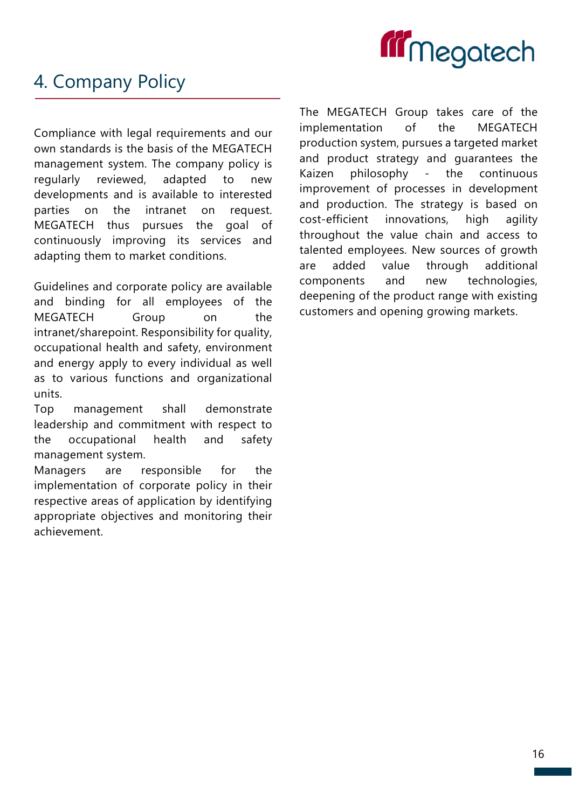

# 4. Company Policy

Compliance with legal requirements and our own standards is the basis of the MEGATECH management system. The company policy is regularly reviewed, adapted to new developments and is available to interested parties on the intranet on request. MEGATECH thus pursues the goal of continuously improving its services and adapting them to market conditions.

Guidelines and corporate policy are available and binding for all employees of the MEGATECH Group on the intranet/sharepoint. Responsibility for quality, occupational health and safety, environment and energy apply to every individual as well as to various functions and organizational units.

Top management shall demonstrate leadership and commitment with respect to the occupational health and safety management system.

Managers are responsible for the implementation of corporate policy in their respective areas of application by identifying appropriate objectives and monitoring their achievement.

The MEGATECH Group takes care of the implementation of the MEGATECH production system, pursues a targeted market and product strategy and guarantees the Kaizen philosophy - the continuous improvement of processes in development and production. The strategy is based on cost-efficient innovations, high agility throughout the value chain and access to talented employees. New sources of growth are added value through additional components and new technologies, deepening of the product range with existing customers and opening growing markets.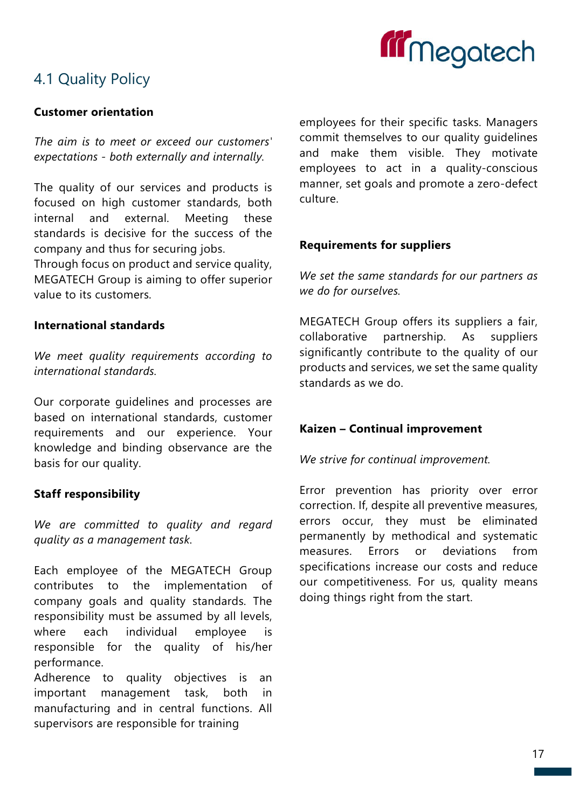

# 4.1 Quality Policy

## Customer orientation

The aim is to meet or exceed our customers' expectations - both externally and internally.

The quality of our services and products is focused on high customer standards, both internal and external. Meeting these standards is decisive for the success of the company and thus for securing jobs.

Through focus on product and service quality, MEGATECH Group is aiming to offer superior value to its customers.

## International standards

We meet quality requirements according to international standards.

Our corporate guidelines and processes are based on international standards, customer requirements and our experience. Your knowledge and binding observance are the basis for our quality.

# Staff responsibility

We are committed to quality and regard quality as a management task.

Each employee of the MEGATECH Group contributes to the implementation of company goals and quality standards. The responsibility must be assumed by all levels, where each individual employee is responsible for the quality of his/her performance.

Adherence to quality objectives is an important management task, both in manufacturing and in central functions. All supervisors are responsible for training

employees for their specific tasks. Managers commit themselves to our quality guidelines and make them visible. They motivate employees to act in a quality-conscious manner, set goals and promote a zero-defect culture.

# Requirements for suppliers

We set the same standards for our partners as we do for ourselves.

MEGATECH Group offers its suppliers a fair, collaborative partnership. As suppliers significantly contribute to the quality of our products and services, we set the same quality standards as we do.

# Kaizen – Continual improvement

We strive for continual improvement.

Error prevention has priority over error correction. If, despite all preventive measures, errors occur, they must be eliminated permanently by methodical and systematic measures. Errors or deviations from specifications increase our costs and reduce our competitiveness. For us, quality means doing things right from the start.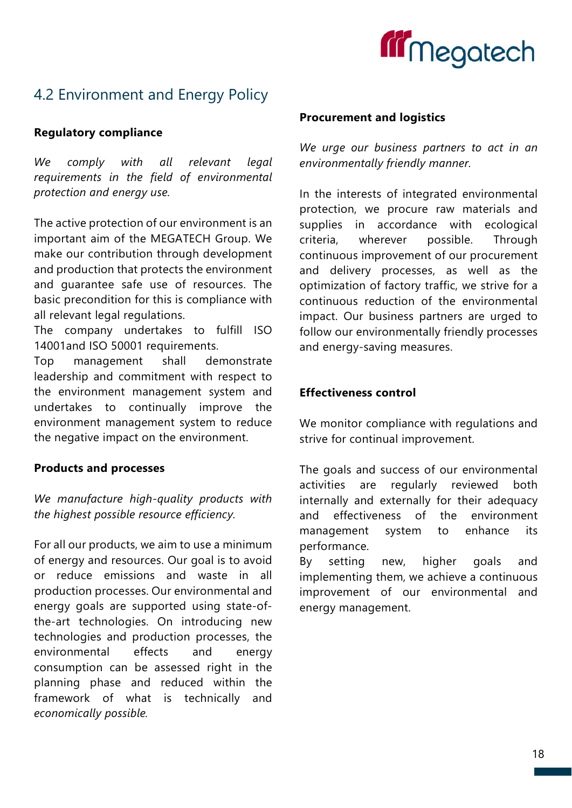

# 4.2 Environment and Energy Policy

## Regulatory compliance

We comply with all relevant legal requirements in the field of environmental protection and energy use.

The active protection of our environment is an important aim of the MEGATECH Group. We make our contribution through development and production that protects the environment and guarantee safe use of resources. The basic precondition for this is compliance with all relevant legal regulations.

The company undertakes to fulfill ISO 14001and ISO 50001 requirements.

Top management shall demonstrate leadership and commitment with respect to the environment management system and undertakes to continually improve the environment management system to reduce the negative impact on the environment.

## Products and processes

We manufacture high-quality products with the highest possible resource efficiency.

For all our products, we aim to use a minimum of energy and resources. Our goal is to avoid or reduce emissions and waste in all production processes. Our environmental and energy goals are supported using state-ofthe-art technologies. On introducing new technologies and production processes, the environmental effects and energy consumption can be assessed right in the planning phase and reduced within the framework of what is technically and economically possible.

#### Procurement and logistics

We urge our business partners to act in an environmentally friendly manner.

In the interests of integrated environmental protection, we procure raw materials and supplies in accordance with ecological criteria, wherever possible. Through continuous improvement of our procurement and delivery processes, as well as the optimization of factory traffic, we strive for a continuous reduction of the environmental impact. Our business partners are urged to follow our environmentally friendly processes and energy-saving measures.

#### Effectiveness control

We monitor compliance with regulations and strive for continual improvement.

The goals and success of our environmental activities are regularly reviewed both internally and externally for their adequacy and effectiveness of the environment management system to enhance its performance.

By setting new, higher goals and implementing them, we achieve a continuous improvement of our environmental and energy management.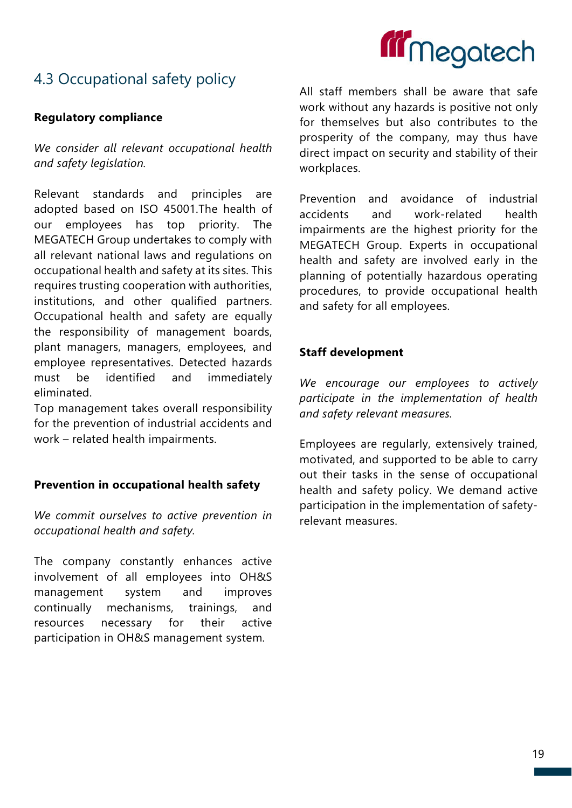

# 4.3 Occupational safety policy

## Regulatory compliance

We consider all relevant occupational health and safety legislation.

Relevant standards and principles are adopted based on ISO 45001.The health of our employees has top priority. The MEGATECH Group undertakes to comply with all relevant national laws and regulations on occupational health and safety at its sites. This requires trusting cooperation with authorities, institutions, and other qualified partners. Occupational health and safety are equally the responsibility of management boards, plant managers, managers, employees, and employee representatives. Detected hazards must be identified and immediately eliminated.

Top management takes overall responsibility for the prevention of industrial accidents and work – related health impairments.

#### Prevention in occupational health safety

We commit ourselves to active prevention in occupational health and safety.

The company constantly enhances active involvement of all employees into OH&S management system and improves continually mechanisms, trainings, and resources necessary for their active participation in OH&S management system.

All staff members shall be aware that safe work without any hazards is positive not only for themselves but also contributes to the prosperity of the company, may thus have direct impact on security and stability of their workplaces.

Prevention and avoidance of industrial accidents and work-related health impairments are the highest priority for the MEGATECH Group. Experts in occupational health and safety are involved early in the planning of potentially hazardous operating procedures, to provide occupational health and safety for all employees.

## Staff development

We encourage our employees to actively participate in the implementation of health and safety relevant measures.

Employees are regularly, extensively trained, motivated, and supported to be able to carry out their tasks in the sense of occupational health and safety policy. We demand active participation in the implementation of safetyrelevant measures.